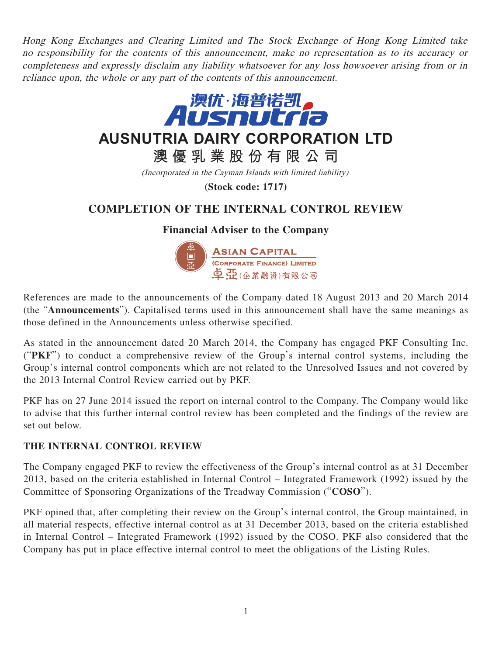Hong Kong Exchanges and Clearing Limited and The Stock Exchange of Hong Kong Limited take no responsibility for the contents of this announcement, make no representation as to its accuracy or completeness and expressly disclaim any liability whatsoever for any loss howsoever arising from or in reliance upon, the whole or any part of the contents of this announcement.



(Incorporated in the Cayman Islands with limited liability)

**(Stock code: 1717)**

# **COMPLETION OF THE INTERNAL CONTROL REVIEW**

### **Financial Adviser to the Company**



References are made to the announcements of the Company dated 18 August 2013 and 20 March 2014 (the "**Announcements**"). Capitalised terms used in this announcement shall have the same meanings as those defined in the Announcements unless otherwise specified.

As stated in the announcement dated 20 March 2014, the Company has engaged PKF Consulting Inc. ("**PKF**") to conduct a comprehensive review of the Group's internal control systems, including the Group's internal control components which are not related to the Unresolved Issues and not covered by the 2013 Internal Control Review carried out by PKF.

PKF has on 27 June 2014 issued the report on internal control to the Company. The Company would like to advise that this further internal control review has been completed and the findings of the review are set out below.

#### **THE INTERNAL CONTROL REVIEW**

The Company engaged PKF to review the effectiveness of the Group's internal control as at 31 December 2013, based on the criteria established in Internal Control – Integrated Framework (1992) issued by the Committee of Sponsoring Organizations of the Treadway Commission ("**COSO**").

PKF opined that, after completing their review on the Group's internal control, the Group maintained, in all material respects, effective internal control as at 31 December 2013, based on the criteria established in Internal Control – Integrated Framework (1992) issued by the COSO. PKF also considered that the Company has put in place effective internal control to meet the obligations of the Listing Rules.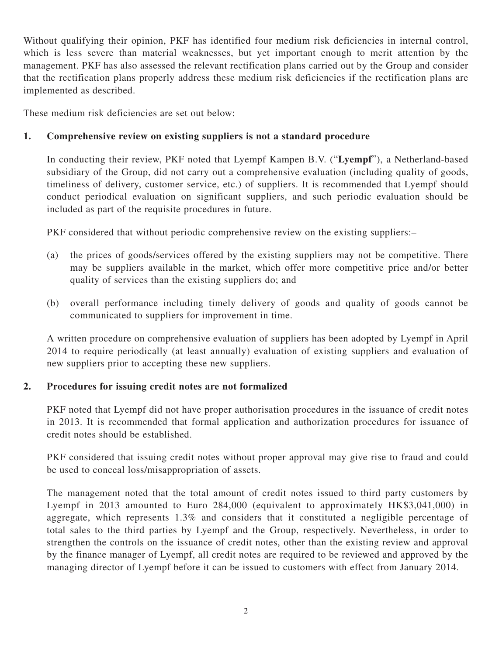Without qualifying their opinion, PKF has identified four medium risk deficiencies in internal control, which is less severe than material weaknesses, but yet important enough to merit attention by the management. PKF has also assessed the relevant rectification plans carried out by the Group and consider that the rectification plans properly address these medium risk deficiencies if the rectification plans are implemented as described.

These medium risk deficiencies are set out below:

## **1. Comprehensive review on existing suppliers is not a standard procedure**

In conducting their review, PKF noted that Lyempf Kampen B.V. ("**Lyempf**"), a Netherland-based subsidiary of the Group, did not carry out a comprehensive evaluation (including quality of goods, timeliness of delivery, customer service, etc.) of suppliers. It is recommended that Lyempf should conduct periodical evaluation on significant suppliers, and such periodic evaluation should be included as part of the requisite procedures in future.

PKF considered that without periodic comprehensive review on the existing suppliers:–

- (a) the prices of goods/services offered by the existing suppliers may not be competitive. There may be suppliers available in the market, which offer more competitive price and/or better quality of services than the existing suppliers do; and
- (b) overall performance including timely delivery of goods and quality of goods cannot be communicated to suppliers for improvement in time.

A written procedure on comprehensive evaluation of suppliers has been adopted by Lyempf in April 2014 to require periodically (at least annually) evaluation of existing suppliers and evaluation of new suppliers prior to accepting these new suppliers.

### **2. Procedures for issuing credit notes are not formalized**

PKF noted that Lyempf did not have proper authorisation procedures in the issuance of credit notes in 2013. It is recommended that formal application and authorization procedures for issuance of credit notes should be established.

PKF considered that issuing credit notes without proper approval may give rise to fraud and could be used to conceal loss/misappropriation of assets.

The management noted that the total amount of credit notes issued to third party customers by Lyempf in 2013 amounted to Euro 284,000 (equivalent to approximately HK\$3,041,000) in aggregate, which represents 1.3% and considers that it constituted a negligible percentage of total sales to the third parties by Lyempf and the Group, respectively. Nevertheless, in order to strengthen the controls on the issuance of credit notes, other than the existing review and approval by the finance manager of Lyempf, all credit notes are required to be reviewed and approved by the managing director of Lyempf before it can be issued to customers with effect from January 2014.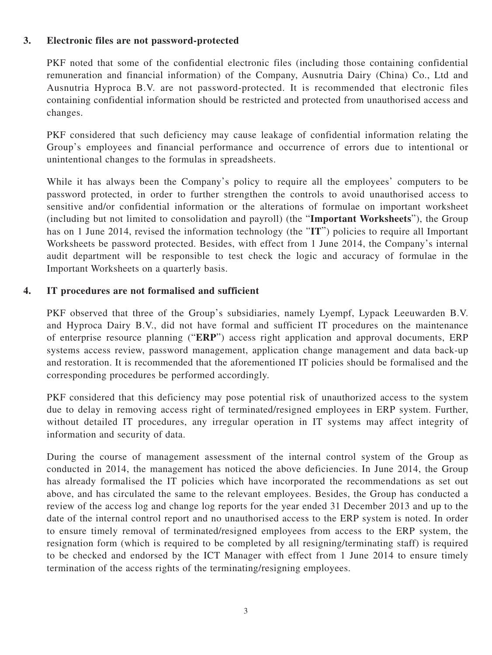### **3. Electronic files are not password-protected**

PKF noted that some of the confidential electronic files (including those containing confidential remuneration and financial information) of the Company, Ausnutria Dairy (China) Co., Ltd and Ausnutria Hyproca B.V. are not password-protected. It is recommended that electronic files containing confidential information should be restricted and protected from unauthorised access and changes.

PKF considered that such deficiency may cause leakage of confidential information relating the Group's employees and financial performance and occurrence of errors due to intentional or unintentional changes to the formulas in spreadsheets.

While it has always been the Company's policy to require all the employees' computers to be password protected, in order to further strengthen the controls to avoid unauthorised access to sensitive and/or confidential information or the alterations of formulae on important worksheet (including but not limited to consolidation and payroll) (the "**Important Worksheets**"), the Group has on 1 June 2014, revised the information technology (the "IT") policies to require all Important Worksheets be password protected. Besides, with effect from 1 June 2014, the Company's internal audit department will be responsible to test check the logic and accuracy of formulae in the Important Worksheets on a quarterly basis.

#### **4. IT procedures are not formalised and sufficient**

PKF observed that three of the Group's subsidiaries, namely Lyempf, Lypack Leeuwarden B.V. and Hyproca Dairy B.V., did not have formal and sufficient IT procedures on the maintenance of enterprise resource planning ("**ERP**") access right application and approval documents, ERP systems access review, password management, application change management and data back-up and restoration. It is recommended that the aforementioned IT policies should be formalised and the corresponding procedures be performed accordingly.

PKF considered that this deficiency may pose potential risk of unauthorized access to the system due to delay in removing access right of terminated/resigned employees in ERP system. Further, without detailed IT procedures, any irregular operation in IT systems may affect integrity of information and security of data.

During the course of management assessment of the internal control system of the Group as conducted in 2014, the management has noticed the above deficiencies. In June 2014, the Group has already formalised the IT policies which have incorporated the recommendations as set out above, and has circulated the same to the relevant employees. Besides, the Group has conducted a review of the access log and change log reports for the year ended 31 December 2013 and up to the date of the internal control report and no unauthorised access to the ERP system is noted. In order to ensure timely removal of terminated/resigned employees from access to the ERP system, the resignation form (which is required to be completed by all resigning/terminating staff) is required to be checked and endorsed by the ICT Manager with effect from 1 June 2014 to ensure timely termination of the access rights of the terminating/resigning employees.